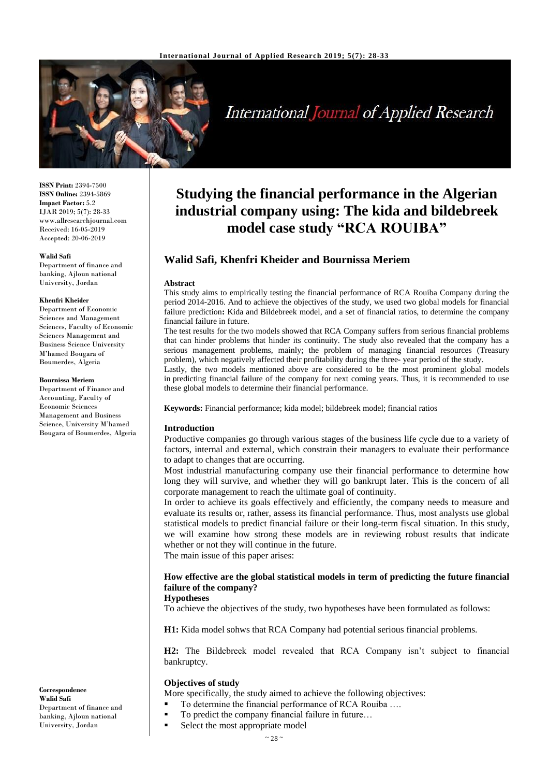

# International Journal of Applied Research

**ISSN Print:** 2394-7500 **ISSN Online:** 2394-5869 **Impact Factor:** 5.2 IJAR 2019; 5(7): 28-33 www.allresearchjournal.com Received: 16-05-2019 Accepted: 20-06-2019

#### **Walid Safi**

Department of finance and banking, Ajloun national University, Jordan

#### **Khenfri Kheider**

Department of Economic Sciences and Management Sciences, Faculty of Economic Sciences Management and Business Science University M'hamed Bougara of Boumerdes, Algeria

#### **Bournissa Meriem**

Department of Finance and Accounting, Faculty of Economic Sciences Management and Business Science, University M'hamed Bougara of Boumerdes, Algeria

**Correspondence Walid Safi** Department of finance and banking, Ajloun national University, Jordan

## **Studying the financial performance in the Algerian industrial company using: The kida and bildebreek model case study "RCA ROUIBA"**

## **Walid Safi, Khenfri Kheider and Bournissa Meriem**

#### **Abstract**

This study aims to empirically testing the financial performance of RCA Rouiba Company during the period 2014-2016. And to achieve the objectives of the study, we used two global models for financial failure prediction**:** Kida and Bildebreek model, and a set of financial ratios, to determine the company financial failure in future.

The test results for the two models showed that RCA Company suffers from serious financial problems that can hinder problems that hinder its continuity. The study also revealed that the company has a serious management problems, mainly; the problem of managing financial resources (Treasury problem), which negatively affected their profitability during the three- year period of the study.

Lastly, the two models mentioned above are considered to be the most prominent global models in predicting financial failure of the company for next coming years. Thus, it is recommended to use these global models to determine their financial performance.

**Keywords:** Financial performance; kida model; bildebreek model; financial ratios

#### **Introduction**

Productive companies go through various stages of the business life cycle due to a variety of factors, internal and external, which constrain their managers to evaluate their performance to adapt to changes that are occurring.

Most industrial manufacturing company use their financial performance to determine how long they will survive, and whether they will go bankrupt later. This is the concern of all corporate management to reach the ultimate goal of continuity.

In order to achieve its goals effectively and efficiently, the company needs to measure and evaluate its results or, rather, assess its financial performance. Thus, most analysts use global statistical models to predict financial failure or their long-term fiscal situation. In this study, we will examine how strong these models are in reviewing robust results that indicate whether or not they will continue in the future.

The main issue of this paper arises:

## **How effective are the global statistical models in term of predicting the future financial failure of the company?**

#### **Hypotheses**

To achieve the objectives of the study, two hypotheses have been formulated as follows:

**H1:** Kida model sohws that RCA Company had potential serious financial problems.

**H2:** The Bildebreek model revealed that RCA Company isn't subject to financial bankruptcy.

## **Objectives of study**

- More specifically, the study aimed to achieve the following objectives:
- To determine the financial performance of RCA Rouiba ....
- To predict the company financial failure in future...
	- Select the most appropriate model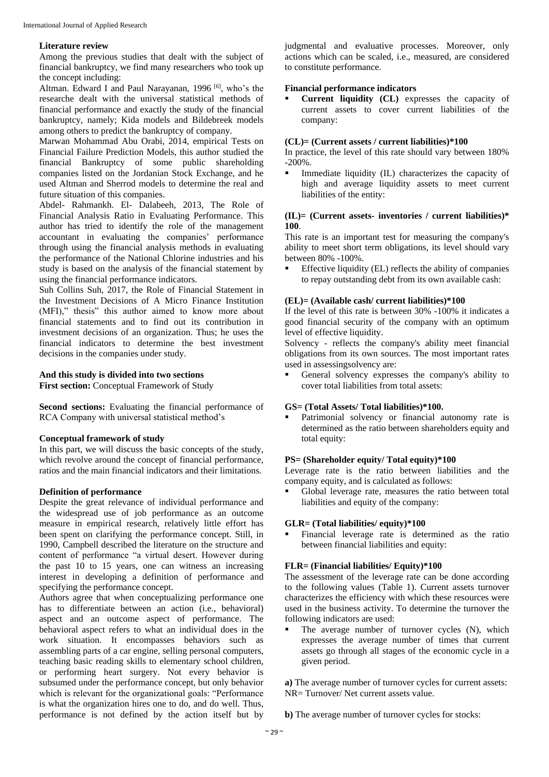## **Literature review**

Among the previous studies that dealt with the subject of financial bankruptcy, we find many researchers who took up the concept including:

Altman. Edward I and Paul Narayanan, 1996 [6], who's the researche dealt with the universal statistical methods of financial performance and exactly the study of the financial bankruptcy, namely; Kida models and Bildebreek models among others to predict the bankruptcy of company.

Marwan Mohammad Abu Orabi, 2014, empirical Tests on Financial Failure Prediction Models, this author studied the financial Bankruptcy of some public shareholding companies listed on the Jordanian Stock Exchange, and he used Altman and Sherrod models to determine the real and future situation of this companies.

Abdel- Rahmankh. El- Dalabeeh, 2013, The Role of Financial Analysis Ratio in Evaluating Performance. This author has tried to identify the role of the management accountant in evaluating the companies' performance through using the financial analysis methods in evaluating the performance of the National Chlorine industries and his study is based on the analysis of the financial statement by using the financial performance indicators.

Suh Collins Suh, 2017, the Role of Financial Statement in the Investment Decisions of A Micro Finance Institution (MFI)," thesis" this author aimed to know more about financial statements and to find out its contribution in investment decisions of an organization. Thus; he uses the financial indicators to determine the best investment decisions in the companies under study.

## **And this study is divided into two sections**

**First section:** Conceptual Framework of Study

**Second sections:** Evaluating the financial performance of RCA Company with universal statistical method's

## **Conceptual framework of study**

In this part, we will discuss the basic concepts of the study, which revolve around the concept of financial performance, ratios and the main financial indicators and their limitations.

## **Definition of performance**

Despite the great relevance of individual performance and the widespread use of job performance as an outcome measure in empirical research, relatively little effort has been spent on clarifying the performance concept. Still, in 1990, Campbell described the literature on the structure and content of performance "a virtual desert. However during the past  $10$  to  $15$  years, one can witness an increasing interest in developing a definition of performance and specifying the performance concept.

Authors agree that when conceptualizing performance one has to differentiate between an action (i.e., behavioral) aspect and an outcome aspect of performance. The behavioral aspect refers to what an individual does in the work situation. It encompasses behaviors such as assembling parts of a car engine, selling personal computers, teaching basic reading skills to elementary school children, or performing heart surgery. Not every behavior is subsumed under the performance concept, but only behavior which is relevant for the organizational goals: "Performance is what the organization hires one to do, and do well. Thus, performance is not defined by the action itself but by

judgmental and evaluative processes. Moreover, only actions which can be scaled, i.e., measured, are considered to constitute performance.

## **Financial performance indicators**

 **Current liquidity (CL)** expresses the capacity of current assets to cover current liabilities of the company:

#### **(CL)= (Current assets / current liabilities)\*100**

In practice, the level of this rate should vary between 180% -200%.

 Immediate liquidity (IL) characterizes the capacity of high and average liquidity assets to meet current liabilities of the entity:

## **(IL)= (Current assets- inventories / current liabilities)\* 100**.

This rate is an important test for measuring the company's ability to meet short term obligations, its level should vary between 80% -100%.

 Effective liquidity (EL) reflects the ability of companies to repay outstanding debt from its own available cash:

## **(EL)= (Available cash/ current liabilities)\*100**

If the level of this rate is between 30% -100% it indicates a good financial security of the company with an optimum level of effective liquidity.

Solvency - reflects the company's ability meet financial obligations from its own sources. The most important rates used in assessingsolvency are:

General solvency expresses the company's ability to cover total liabilities from total assets:

## **GS= (Total Assets/ Total liabilities)\*100.**

 Patrimonial solvency or financial autonomy rate is determined as the ratio between shareholders equity and total equity:

#### **PS= (Shareholder equity/ Total equity)\*100**

Leverage rate is the ratio between liabilities and the company equity, and is calculated as follows:

 Global leverage rate, measures the ratio between total liabilities and equity of the company:

## **GLR= (Total liabilities/ equity)\*100**

 Financial leverage rate is determined as the ratio between financial liabilities and equity:

## **FLR= (Financial liabilities/ Equity)\*100**

The assessment of the leverage rate can be done according to the following values (Table 1). Current assets turnover characterizes the efficiency with which these resources were used in the business activity. To determine the turnover the following indicators are used:

 The average number of turnover cycles (N), which expresses the average number of times that current assets go through all stages of the economic cycle in a given period.

**a)** The average number of turnover cycles for current assets: NR= Turnover/ Net current assets value.

**b)** The average number of turnover cycles for stocks: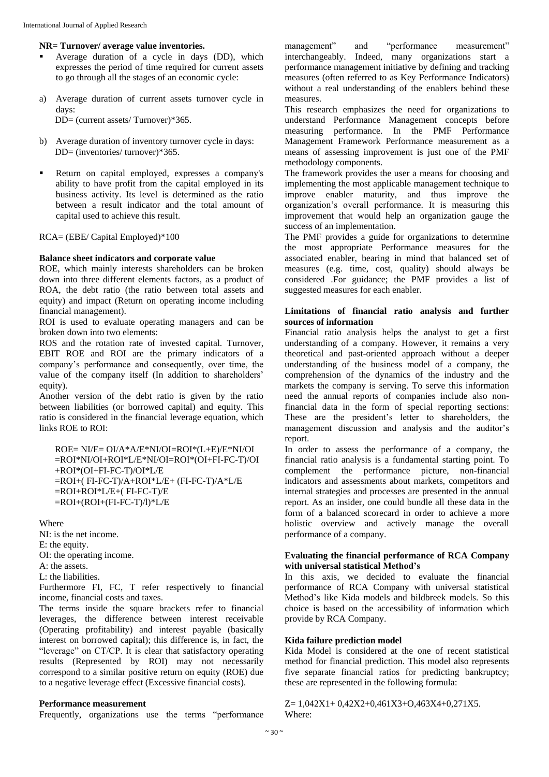## **NR= Turnover/ average value inventories.**

- Average duration of a cycle in days (DD), which expresses the period of time required for current assets to go through all the stages of an economic cycle:
- a) Average duration of current assets turnover cycle in days: DD= (current assets/ Turnover)\*365.
- b) Average duration of inventory turnover cycle in days: DD= (inventories/ turnover)\*365.
- Return on capital employed, expresses a company's ability to have profit from the capital employed in its business activity. Its level is determined as the ratio between a result indicator and the total amount of capital used to achieve this result.

RCA= (EBE/ Capital Employed)\*100

#### **Balance sheet indicators and corporate value**

ROE, which mainly interests shareholders can be broken down into three different elements factors, as a product of ROA, the debt ratio (the ratio between total assets and equity) and impact (Return on operating income including financial management).

ROI is used to evaluate operating managers and can be broken down into two elements:

ROS and the rotation rate of invested capital. Turnover, EBIT ROE and ROI are the primary indicators of a company's performance and consequently, over time, the value of the company itself (In addition to shareholders' equity).

Another version of the debt ratio is given by the ratio between liabilities (or borrowed capital) and equity. This ratio is considered in the financial leverage equation, which links ROE to ROI:

ROE= NI/E= OI/A\*A/E\*NI/OI=ROI\*(L+E)/E\*NI/OI =ROI\*NI/OI+ROI\*L/E\*NI/OI=ROI\*(OI+FI-FC-T)/OI +ROI\*(OI+FI-FC-T)/OI\*L/E =ROI+( FI-FC-T)/A+ROI\*L/E+ (FI-FC-T)/A\*L/E =ROI+ROI\*L/E+( FI-FC-T)/E  $=$ ROI+(ROI+(FI-FC-T)/l)\*L/E

Where

NI: is the net income.

E: the equity.

OI: the operating income.

A: the assets.

L: the liabilities.

Furthermore FI, FC, T refer respectively to financial income, financial costs and taxes.

The terms inside the square brackets refer to financial leverages, the difference between interest receivable (Operating profitability) and interest payable (basically interest on borrowed capital); this difference is, in fact, the "leverage" on CT/CP. It is clear that satisfactory operating results (Represented by ROI) may not necessarily correspond to a similar positive return on equity (ROE) due to a negative leverage effect (Excessive financial costs).

#### **Performance measurement**

Frequently, organizations use the terms "performance

management" and "performance measurement" interchangeably. Indeed, many organizations start a performance management initiative by defining and tracking measures (often referred to as Key Performance Indicators) without a real understanding of the enablers behind these measures.

This research emphasizes the need for organizations to understand Performance Management concepts before measuring performance. In the PMF Performance Management Framework Performance measurement as a means of assessing improvement is just one of the PMF methodology components.

The framework provides the user a means for choosing and implementing the most applicable management technique to improve enabler maturity, and thus improve the organization's overall performance. It is measuring this improvement that would help an organization gauge the success of an implementation.

The PMF provides a guide for organizations to determine the most appropriate Performance measures for the associated enabler, bearing in mind that balanced set of measures (e.g. time, cost, quality) should always be considered .For guidance; the PMF provides a list of suggested measures for each enabler.

## **Limitations of financial ratio analysis and further sources of information**

Financial ratio analysis helps the analyst to get a first understanding of a company. However, it remains a very theoretical and past-oriented approach without a deeper understanding of the business model of a company, the comprehension of the dynamics of the industry and the markets the company is serving. To serve this information need the annual reports of companies include also nonfinancial data in the form of special reporting sections: These are the president's letter to shareholders, the management discussion and analysis and the auditor's report.

In order to assess the performance of a company, the financial ratio analysis is a fundamental starting point. To complement the performance picture, non-financial indicators and assessments about markets, competitors and internal strategies and processes are presented in the annual report. As an insider, one could bundle all these data in the form of a balanced scorecard in order to achieve a more holistic overview and actively manage the overall performance of a company.

## **Evaluating the financial performance of RCA Company with universal statistical Method's**

In this axis, we decided to evaluate the financial performance of RCA Company with universal statistical Method's like Kida models and bildbreek models. So this choice is based on the accessibility of information which provide by RCA Company.

## **Kida failure prediction model**

Kida Model is considered at the one of recent statistical method for financial prediction. This model also represents five separate financial ratios for predicting bankruptcy; these are represented in the following formula:

 $Z= 1,042X1+ 0,42X2+ 0,461X3+ 0,463X4+ 0,271X5.$ Where: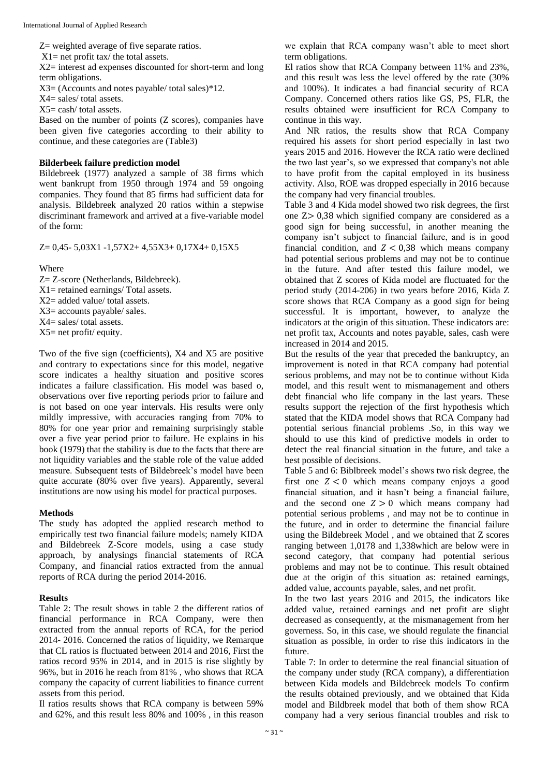Z= weighted average of five separate ratios.

X1= net profit tax/ the total assets.

X2= interest ad expenses discounted for short-term and long term obligations.

X3= (Accounts and notes payable/ total sales)\*12.

 $X4 =$  sales/ total assets.

 $X5 = \cosh/\tota$  total assets.

Based on the number of points (Z scores), companies have been given five categories according to their ability to continue, and these categories are (Table3)

#### **Bilderbeek failure prediction model**

Bildebreek (1977) analyzed a sample of 38 firms which went bankrupt from 1950 through 1974 and 59 ongoing companies. They found that 85 firms had sufficient data for analysis. Bildebreek analyzed 20 ratios within a stepwise discriminant framework and arrived at a five-variable model of the form:

Z= 0,45- 5,03X1 -1,57X2+ 4,55X3+ 0,17X4+ 0,15X5

Where

- Z= Z-score (Netherlands, Bildebreek).
- $X1$  = retained earnings/ Total assets.
- X2= added value/ total assets.
- X3= accounts payable/ sales.
- X4= sales/ total assets.
- X5= net profit/ equity.

Two of the five sign (coefficients), X4 and X5 are positive and contrary to expectations since for this model, negative score indicates a healthy situation and positive scores indicates a failure classification. His model was based o, observations over five reporting periods prior to failure and is not based on one year intervals. His results were only mildly impressive, with accuracies ranging from 70% to 80% for one year prior and remaining surprisingly stable over a five year period prior to failure. He explains in his book (1979) that the stability is due to the facts that there are not liquidity variables and the stable role of the value added measure. Subsequent tests of Bildebreek's model have been quite accurate (80% over five years). Apparently, several institutions are now using his model for practical purposes.

#### **Methods**

The study has adopted the applied research method to empirically test two financial failure models; namely KIDA and Bildebreek Z-Score models, using a case study approach, by analysings financial statements of RCA Company, and financial ratios extracted from the annual reports of RCA during the period 2014-2016.

#### **Results**

Table 2: The result shows in table 2 the different ratios of financial performance in RCA Company, were then extracted from the annual reports of RCA, for the period 2014- 2016. Concerned the ratios of liquidity, we Remarque that CL ratios is fluctuated between 2014 and 2016, First the ratios record 95% in 2014, and in 2015 is rise slightly by 96%, but in 2016 he reach from 81% , who shows that RCA company the capacity of current liabilities to finance current assets from this period.

Il ratios results shows that RCA company is between 59% and 62%, and this result less 80% and 100% , in this reason we explain that RCA company wasn't able to meet short term obligations.

El ratios show that RCA Company between 11% and 23%, and this result was less the level offered by the rate (30% and 100%). It indicates a bad financial security of RCA Company. Concerned others ratios like GS, PS, FLR, the results obtained were insufficient for RCA Company to continue in this way.

And NR ratios, the results show that RCA Company required his assets for short period especially in last two years 2015 and 2016. However the RCA ratio were declined the two last year's, so we expressed that company's not able to have profit from the capital employed in its business activity. Also, ROE was dropped especially in 2016 because the company had very financial troubles.

Table 3 and 4 Kida model showed two risk degrees, the first one Z> 0,38 which signified company are considered as a good sign for being successful, in another meaning the company isn't subject to financial failure, and is in good financial condition, and  $Z < 0.38$  which means company had potential serious problems and may not be to continue in the future. And after tested this failure model, we obtained that Z scores of Kida model are fluctuated for the period study (2014-206) in two years before 2016, Kida Z score shows that RCA Company as a good sign for being successful. It is important, however, to analyze the indicators at the origin of this situation. These indicators are: net profit tax, Accounts and notes payable, sales, cash were increased in 2014 and 2015.

But the results of the year that preceded the bankruptcy, an improvement is noted in that RCA company had potential serious problems, and may not be to continue without Kida model, and this result went to mismanagement and others debt financial who life company in the last years. These results support the rejection of the first hypothesis which stated that the KIDA model shows that RCA Company had potential serious financial problems .So, in this way we should to use this kind of predictive models in order to detect the real financial situation in the future, and take a best possible of decisions.

Table 5 and 6: Biblbreek model's shows two risk degree, the first one  $Z < 0$  which means company enjoys a good financial situation, and it hasn't being a financial failure, and the second one  $Z > 0$  which means company had potential serious problems , and may not be to continue in the future, and in order to determine the financial failure using the Bildebreek Model , and we obtained that Z scores ranging between 1,0178 and 1,338which are below were in second category, that company had potential serious problems and may not be to continue. This result obtained due at the origin of this situation as: retained earnings, added value, accounts payable, sales, and net profit.

In the two last years 2016 and 2015, the indicators like added value, retained earnings and net profit are slight decreased as consequently, at the mismanagement from her governess. So, in this case, we should regulate the financial situation as possible, in order to rise this indicators in the future.

Table 7: In order to determine the real financial situation of the company under study (RCA company), a differentiation between Kida models and Bildebreek models To confirm the results obtained previously, and we obtained that Kida model and Bildbreek model that both of them show RCA company had a very serious financial troubles and risk to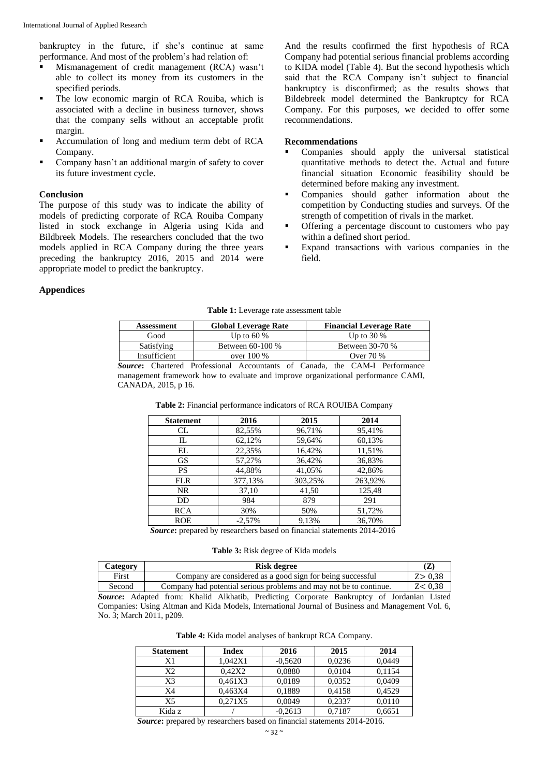bankruptcy in the future, if she's continue at same performance. And most of the problem's had relation of:

- Mismanagement of credit management (RCA) wasn't able to collect its money from its customers in the specified periods.
- The low economic margin of RCA Rouiba, which is associated with a decline in business turnover, shows that the company sells without an acceptable profit margin.
- Accumulation of long and medium term debt of RCA Company.
- Company hasn't an additional margin of safety to cover its future investment cycle.

## **Conclusion**

The purpose of this study was to indicate the ability of models of predicting corporate of RCA Rouiba Company listed in stock exchange in Algeria using Kida and Bildbreek Models. The researchers concluded that the two models applied in RCA Company during the three years preceding the bankruptcy 2016, 2015 and 2014 were appropriate model to predict the bankruptcy.

And the results confirmed the first hypothesis of RCA Company had potential serious financial problems according to KIDA model (Table 4). But the second hypothesis which said that the RCA Company isn't subject to financial bankruptcy is disconfirmed; as the results shows that Bildebreek model determined the Bankruptcy for RCA Company. For this purposes, we decided to offer some recommendations.

#### **Recommendations**

- Companies should apply the universal statistical quantitative methods to detect the. Actual and future financial situation Economic feasibility should be determined before making any investment.
- Companies should gather information about the competition by Conducting studies and surveys. Of the strength of competition of rivals in the market.
- Offering a percentage discount to customers who pay within a defined short period.
- **Expand transactions** with various companies in the field.

## **Appendices**

|  |  |  |  |  | <b>Table 1:</b> Leverage rate assessment table |  |
|--|--|--|--|--|------------------------------------------------|--|
|--|--|--|--|--|------------------------------------------------|--|

| Assessment   | <b>Global Leverage Rate</b> | <b>Financial Leverage Rate</b> |
|--------------|-----------------------------|--------------------------------|
| Good         | Up to 60 $%$                | Up to $30\%$                   |
| Satisfying   | Between 60-100 %            | Between 30-70 %                |
| Insufficient | over $100\%$                | Over 70 %                      |

*Source***:** Chartered Professional Accountants of Canada, the CAM-I Performance management framework how to evaluate and improve organizational performance CAMI, CANADA, 2015, p 16.

| <b>Statement</b> | 2016     | 2015    | 2014    |
|------------------|----------|---------|---------|
| CL               | 82,55%   | 96,71%  | 95,41%  |
| IL               | 62,12%   | 59,64%  | 60,13%  |
| EL               | 22,35%   | 16,42%  | 11,51%  |
| <b>GS</b>        | 57,27%   | 36,42%  | 36,83%  |
| <b>PS</b>        | 44,88%   | 41,05%  | 42,86%  |
| <b>FLR</b>       | 377,13%  | 303,25% | 263,92% |
| NR.              | 37,10    | 41,50   | 125,48  |
| DD               | 984      | 879     | 291     |
| <b>RCA</b>       | 30%      | 50%     | 51,72%  |
| <b>ROE</b>       | $-2,57%$ | 9,13%   | 36.70%  |

**Table 2:** Financial performance indicators of RCA ROUIBA Company

*Source***:** prepared by researchers based on financial statements 2014-2016

**Table 3:** Risk degree of Kida models

| Category | <b>Risk degree</b>                                                                                | (Z)      |
|----------|---------------------------------------------------------------------------------------------------|----------|
| First    | Company are considered as a good sign for being successful                                        | Z > 0,38 |
| Second   | Company had potential serious problems and may not be to continue.                                | Z < 0.38 |
|          | <b>Source:</b> Adapted from: Khalid Alkhatib, Predicting Corporate Bankruptcy of Jordanian Listed |          |
|          | Companies: Using Altman and Kida Models, International Journal of Business and Management Vol. 6, |          |

No. 3; March 2011, p209.

**Table 4:** Kida model analyses of bankrupt RCA Company.

| <b>Statement</b> | Index   | 2016      | 2015   | 2014   |
|------------------|---------|-----------|--------|--------|
| X1               | 1.042X1 | $-0,5620$ | 0.0236 | 0,0449 |
| Х2               | 0.42X2  | 0,0880    | 0.0104 | 0.1154 |
| X3               | 0.461X3 | 0.0189    | 0.0352 | 0,0409 |
| X4               | 0.463X4 | 0.1889    | 0.4158 | 0,4529 |
| X5               | 0.271X5 | 0,0049    | 0,2337 | 0,0110 |
| Kida z           |         | $-0.2613$ | 0.7187 | 0,6651 |

*Source***:** prepared by researchers based on financial statements 2014-2016.